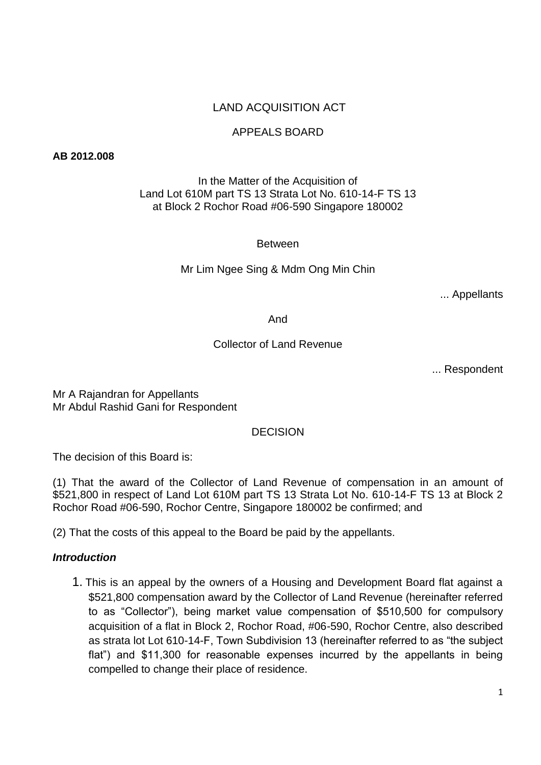# LAND ACQUISITION ACT

## APPEALS BOARD

#### **AB 2012.008**

### In the Matter of the Acquisition of Land Lot 610M part TS 13 Strata Lot No. 610-14-F TS 13 at Block 2 Rochor Road #06-590 Singapore 180002

**Between** 

Mr Lim Ngee Sing & Mdm Ong Min Chin

... Appellants

#### And

#### Collector of Land Revenue

... Respondent

Mr A Rajandran for Appellants Mr Abdul Rashid Gani for Respondent

#### DECISION

The decision of this Board is:

(1) That the award of the Collector of Land Revenue of compensation in an amount of \$521,800 in respect of Land Lot 610M part TS 13 Strata Lot No. 610-14-F TS 13 at Block 2 Rochor Road #06-590, Rochor Centre, Singapore 180002 be confirmed; and

(2) That the costs of this appeal to the Board be paid by the appellants.

#### *Introduction*

1. This is an appeal by the owners of a Housing and Development Board flat against a \$521,800 compensation award by the Collector of Land Revenue (hereinafter referred to as "Collector"), being market value compensation of \$510,500 for compulsory acquisition of a flat in Block 2, Rochor Road, #06-590, Rochor Centre, also described as strata lot Lot 610-14-F, Town Subdivision 13 (hereinafter referred to as "the subject flat") and \$11,300 for reasonable expenses incurred by the appellants in being compelled to change their place of residence.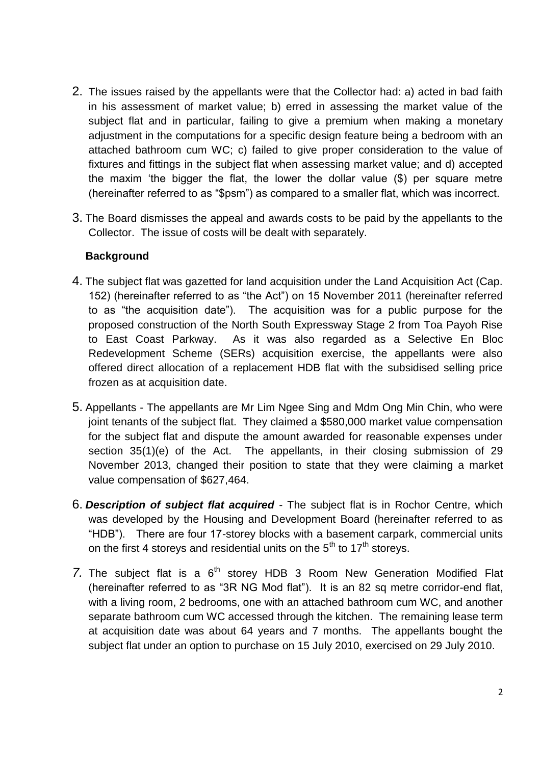- 2. The issues raised by the appellants were that the Collector had: a) acted in bad faith in his assessment of market value; b) erred in assessing the market value of the subject flat and in particular, failing to give a premium when making a monetary adjustment in the computations for a specific design feature being a bedroom with an attached bathroom cum WC; c) failed to give proper consideration to the value of fixtures and fittings in the subject flat when assessing market value; and d) accepted the maxim 'the bigger the flat, the lower the dollar value (\$) per square metre (hereinafter referred to as "\$psm") as compared to a smaller flat, which was incorrect.
- 3. The Board dismisses the appeal and awards costs to be paid by the appellants to the Collector. The issue of costs will be dealt with separately.

### **Background**

- 4. The subject flat was gazetted for land acquisition under the Land Acquisition Act (Cap. 152) (hereinafter referred to as "the Act") on 15 November 2011 (hereinafter referred to as "the acquisition date"). The acquisition was for a public purpose for the proposed construction of the North South Expressway Stage 2 from Toa Payoh Rise to East Coast Parkway. As it was also regarded as a Selective En Bloc Redevelopment Scheme (SERs) acquisition exercise, the appellants were also offered direct allocation of a replacement HDB flat with the subsidised selling price frozen as at acquisition date.
- 5. Appellants The appellants are Mr Lim Ngee Sing and Mdm Ong Min Chin, who were joint tenants of the subject flat. They claimed a \$580,000 market value compensation for the subject flat and dispute the amount awarded for reasonable expenses under section 35(1)(e) of the Act. The appellants, in their closing submission of 29 November 2013, changed their position to state that they were claiming a market value compensation of \$627,464.
- 6. *Description of subject flat acquired* The subject flat is in Rochor Centre, which was developed by the Housing and Development Board (hereinafter referred to as "HDB"). There are four 17-storey blocks with a basement carpark, commercial units on the first 4 storeys and residential units on the  $5<sup>th</sup>$  to 17<sup>th</sup> storeys.
- 7. The subject flat is a 6<sup>th</sup> storey HDB 3 Room New Generation Modified Flat (hereinafter referred to as "3R NG Mod flat"). It is an 82 sq metre corridor-end flat, with a living room, 2 bedrooms, one with an attached bathroom cum WC, and another separate bathroom cum WC accessed through the kitchen. The remaining lease term at acquisition date was about 64 years and 7 months. The appellants bought the subject flat under an option to purchase on 15 July 2010, exercised on 29 July 2010.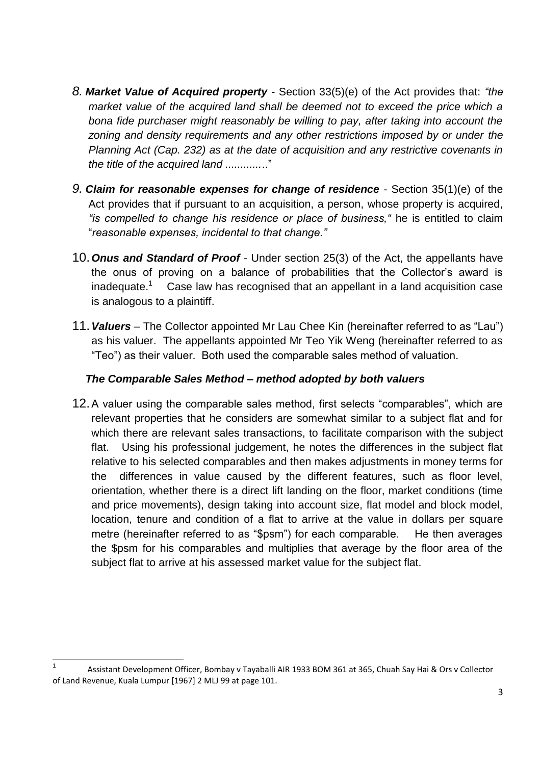- *8. Market Value of Acquired property -* Section 33(5)(e) of the Act provides that: *"the*  market value of the acquired land shall be deemed not to exceed the price which a *bona fide purchaser might reasonably be willing to pay, after taking into account the zoning and density requirements and any other restrictions imposed by or under the Planning Act (Cap. 232) as at the date of acquisition and any restrictive covenants in the title of the acquired land ............*.."
- *9. Claim for reasonable expenses for change of residence* Section 35(1)(e) of the Act provides that if pursuant to an acquisition, a person, whose property is acquired, *"is compelled to change his residence or place of business,"* he is entitled to claim "*reasonable expenses, incidental to that change."*
- 10.*Onus and Standard of Proof* Under section 25(3) of the Act, the appellants have the onus of proving on a balance of probabilities that the Collector's award is  $inad$ equate. $<sup>1</sup>$ </sup> Case law has recognised that an appellant in a land acquisition case is analogous to a plaintiff.
- 11.*Valuers –* The Collector appointed Mr Lau Chee Kin (hereinafter referred to as "Lau") as his valuer. The appellants appointed Mr Teo Yik Weng (hereinafter referred to as "Teo") as their valuer. Both used the comparable sales method of valuation.

## *The Comparable Sales Method – method adopted by both valuers*

12.A valuer using the comparable sales method, first selects "comparables", which are relevant properties that he considers are somewhat similar to a subject flat and for which there are relevant sales transactions, to facilitate comparison with the subject flat. Using his professional judgement, he notes the differences in the subject flat relative to his selected comparables and then makes adjustments in money terms for the differences in value caused by the different features, such as floor level, orientation, whether there is a direct lift landing on the floor, market conditions (time and price movements), design taking into account size, flat model and block model, location, tenure and condition of a flat to arrive at the value in dollars per square metre (hereinafter referred to as "\$psm") for each comparable. He then averages the \$psm for his comparables and multiplies that average by the floor area of the subject flat to arrive at his assessed market value for the subject flat.

**.** 

<sup>1</sup> Assistant Development Officer, Bombay v Tayaballi AIR 1933 BOM 361 at 365, Chuah Say Hai & Ors v Collector of Land Revenue, Kuala Lumpur [1967] 2 MLJ 99 at page 101.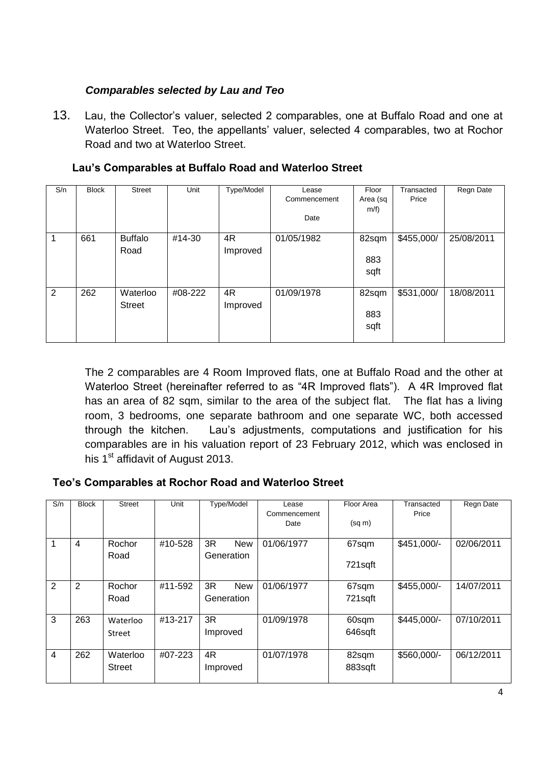# *Comparables selected by Lau and Teo*

13. Lau, the Collector's valuer, selected 2 comparables, one at Buffalo Road and one at Waterloo Street. Teo, the appellants' valuer, selected 4 comparables, two at Rochor Road and two at Waterloo Street.

| S/n | <b>Block</b> | <b>Street</b>             | Unit    | Type/Model     | Lease<br>Commencement<br>Date | Floor<br>Area (sq<br>$m/f$ ) | Transacted<br>Price | Regn Date  |
|-----|--------------|---------------------------|---------|----------------|-------------------------------|------------------------------|---------------------|------------|
|     | 661          | <b>Buffalo</b><br>Road    | #14-30  | 4R<br>Improved | 01/05/1982                    | 82sqm<br>883<br>sqft         | \$455,000/          | 25/08/2011 |
| 2   | 262          | Waterloo<br><b>Street</b> | #08-222 | 4R<br>Improved | 01/09/1978                    | 82sqm<br>883<br>sqft         | \$531,000/          | 18/08/2011 |

## **Lau's Comparables at Buffalo Road and Waterloo Street**

The 2 comparables are 4 Room Improved flats, one at Buffalo Road and the other at Waterloo Street (hereinafter referred to as "4R Improved flats"). A 4R Improved flat has an area of 82 sqm, similar to the area of the subject flat. The flat has a living room, 3 bedrooms, one separate bathroom and one separate WC, both accessed through the kitchen. Lau's adjustments, computations and justification for his comparables are in his valuation report of 23 February 2012, which was enclosed in his  $1<sup>st</sup>$  affidavit of August 2013.

## **Teo's Comparables at Rochor Road and Waterloo Street**

| S/n | <b>Block</b> | Street                    | Unit    | Type/Model                     | Lease<br>Commencement<br>Date | Floor Area<br>$(sq \, m)$ | Transacted<br>Price | Regn Date  |
|-----|--------------|---------------------------|---------|--------------------------------|-------------------------------|---------------------------|---------------------|------------|
| 1   | 4            | Rochor<br>Road            | #10-528 | 3R<br><b>New</b><br>Generation | 01/06/1977                    | 67sqm<br>721sqft          | $$451,000/-$        | 02/06/2011 |
| 2   | 2            | Rochor<br>Road            | #11-592 | 3R<br><b>New</b><br>Generation | 01/06/1977                    | 67sqm<br>721sqft          | $$455,000/-$        | 14/07/2011 |
| 3   | 263          | Waterloo<br>Street        | #13-217 | 3R<br>Improved                 | 01/09/1978                    | 60sqm<br>646sqft          | $$445,000/-$        | 07/10/2011 |
| 4   | 262          | Waterloo<br><b>Street</b> | #07-223 | 4R<br>Improved                 | 01/07/1978                    | 82sqm<br>883sqft          | \$560,000/-         | 06/12/2011 |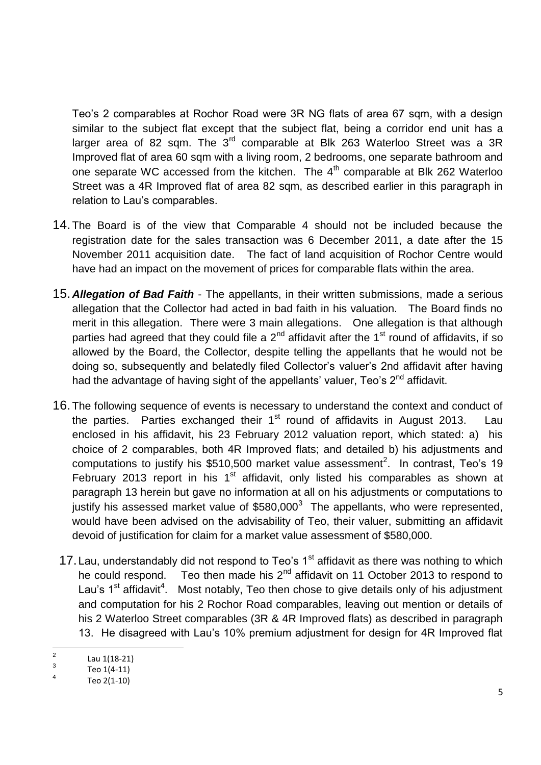Teo's 2 comparables at Rochor Road were 3R NG flats of area 67 sqm, with a design similar to the subject flat except that the subject flat, being a corridor end unit has a larger area of 82 sqm. The 3<sup>rd</sup> comparable at Blk 263 Waterloo Street was a 3R Improved flat of area 60 sqm with a living room, 2 bedrooms, one separate bathroom and one separate WC accessed from the kitchen. The  $4<sup>th</sup>$  comparable at Blk 262 Waterloo Street was a 4R Improved flat of area 82 sqm, as described earlier in this paragraph in relation to Lau's comparables.

- 14. The Board is of the view that Comparable 4 should not be included because the registration date for the sales transaction was 6 December 2011, a date after the 15 November 2011 acquisition date. The fact of land acquisition of Rochor Centre would have had an impact on the movement of prices for comparable flats within the area.
- 15. *Allegation of Bad Faith* The appellants, in their written submissions, made a serious allegation that the Collector had acted in bad faith in his valuation. The Board finds no merit in this allegation. There were 3 main allegations. One allegation is that although parties had agreed that they could file a  $2<sup>nd</sup>$  affidavit after the 1<sup>st</sup> round of affidavits, if so allowed by the Board, the Collector, despite telling the appellants that he would not be doing so, subsequently and belatedly filed Collector's valuer's 2nd affidavit after having had the advantage of having sight of the appellants' valuer, Teo's  $2<sup>nd</sup>$  affidavit.
- 16. The following sequence of events is necessary to understand the context and conduct of the parties. Parties exchanged their  $1<sup>st</sup>$  round of affidavits in August 2013. Lau enclosed in his affidavit, his 23 February 2012 valuation report, which stated: a) his choice of 2 comparables, both 4R Improved flats; and detailed b) his adjustments and computations to justify his \$510,500 market value assessment<sup>2</sup>. In contrast, Teo's 19 February 2013 report in his  $1<sup>st</sup>$  affidavit, only listed his comparables as shown at paragraph 13 herein but gave no information at all on his adjustments or computations to justify his assessed market value of  $$580,000^3$  The appellants, who were represented, would have been advised on the advisability of Teo, their valuer, submitting an affidavit devoid of justification for claim for a market value assessment of \$580,000.
- 17. Lau, understandably did not respond to Teo's  $1<sup>st</sup>$  affidavit as there was nothing to which he could respond. Teo then made his  $2^{nd}$  affidavit on 11 October 2013 to respond to Lau's  $1<sup>st</sup>$  affidavit<sup>4</sup>. Most notably, Teo then chose to give details only of his adjustment and computation for his 2 Rochor Road comparables, leaving out mention or details of his 2 Waterloo Street comparables (3R & 4R Improved flats) as described in paragraph 13. He disagreed with Lau's 10% premium adjustment for design for 4R Improved flat

 $\frac{1}{2}$ Lau 1(18-21)

<sup>3</sup> Teo 1(4-11)

<sup>4</sup> Teo 2(1-10)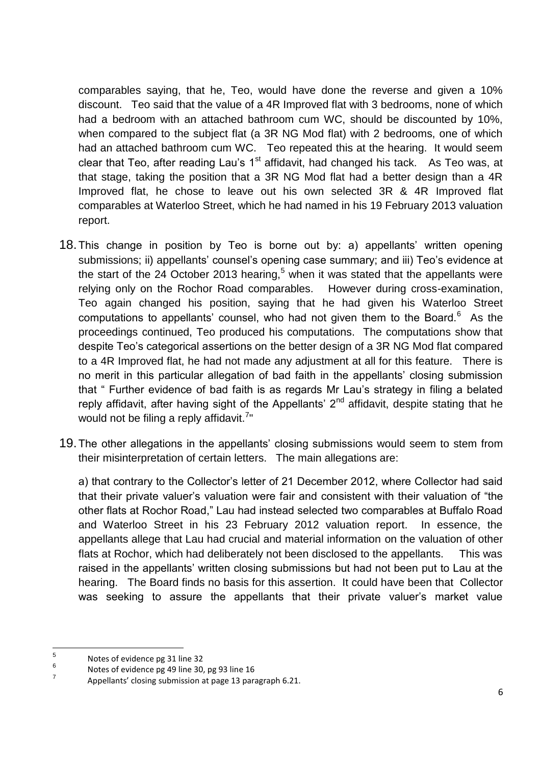comparables saying, that he, Teo, would have done the reverse and given a 10% discount. Teo said that the value of a 4R Improved flat with 3 bedrooms, none of which had a bedroom with an attached bathroom cum WC, should be discounted by 10%, when compared to the subject flat (a 3R NG Mod flat) with 2 bedrooms, one of which had an attached bathroom cum WC. Teo repeated this at the hearing. It would seem clear that Teo, after reading Lau's  $1<sup>st</sup>$  affidavit, had changed his tack. As Teo was, at that stage, taking the position that a 3R NG Mod flat had a better design than a 4R Improved flat, he chose to leave out his own selected 3R & 4R Improved flat comparables at Waterloo Street, which he had named in his 19 February 2013 valuation report.

- 18.This change in position by Teo is borne out by: a) appellants' written opening submissions; ii) appellants' counsel's opening case summary; and iii) Teo's evidence at the start of the 24 October 2013 hearing,<sup>5</sup> when it was stated that the appellants were relying only on the Rochor Road comparables. However during cross-examination, Teo again changed his position, saying that he had given his Waterloo Street computations to appellants' counsel, who had not given them to the Board. $6$  As the proceedings continued, Teo produced his computations. The computations show that despite Teo's categorical assertions on the better design of a 3R NG Mod flat compared to a 4R Improved flat, he had not made any adjustment at all for this feature. There is no merit in this particular allegation of bad faith in the appellants' closing submission that " Further evidence of bad faith is as regards Mr Lau's strategy in filing a belated reply affidavit, after having sight of the Appellants'  $2<sup>nd</sup>$  affidavit, despite stating that he would not be filing a reply affidavit.<sup>7</sup>"
- 19.The other allegations in the appellants' closing submissions would seem to stem from their misinterpretation of certain letters. The main allegations are:

a) that contrary to the Collector's letter of 21 December 2012, where Collector had said that their private valuer's valuation were fair and consistent with their valuation of "the other flats at Rochor Road," Lau had instead selected two comparables at Buffalo Road and Waterloo Street in his 23 February 2012 valuation report. In essence, the appellants allege that Lau had crucial and material information on the valuation of other flats at Rochor, which had deliberately not been disclosed to the appellants. This was raised in the appellants' written closing submissions but had not been put to Lau at the hearing. The Board finds no basis for this assertion. It could have been that Collector was seeking to assure the appellants that their private valuer's market value

 $\frac{1}{5}$ Notes of evidence pg 31 line 32

<sup>6</sup> Notes of evidence pg 49 line 30, pg 93 line 16

<sup>7</sup> Appellants' closing submission at page 13 paragraph 6.21.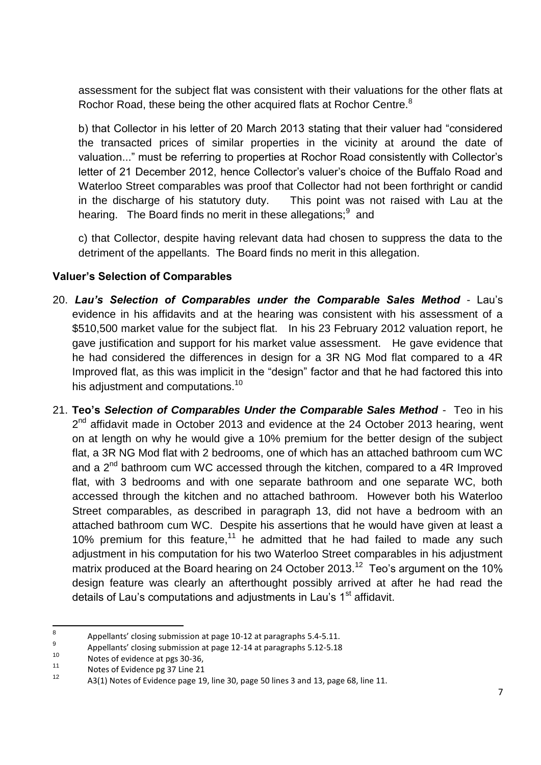assessment for the subject flat was consistent with their valuations for the other flats at Rochor Road, these being the other acquired flats at Rochor Centre. $8$ 

b) that Collector in his letter of 20 March 2013 stating that their valuer had "considered the transacted prices of similar properties in the vicinity at around the date of valuation..." must be referring to properties at Rochor Road consistently with Collector's letter of 21 December 2012, hence Collector's valuer's choice of the Buffalo Road and Waterloo Street comparables was proof that Collector had not been forthright or candid in the discharge of his statutory duty. This point was not raised with Lau at the hearing. The Board finds no merit in these allegations; and

c) that Collector, despite having relevant data had chosen to suppress the data to the detriment of the appellants. The Board finds no merit in this allegation.

## **Valuer's Selection of Comparables**

- 20. *Lau's Selection of Comparables under the Comparable Sales Method* Lau's evidence in his affidavits and at the hearing was consistent with his assessment of a \$510,500 market value for the subject flat. In his 23 February 2012 valuation report, he gave justification and support for his market value assessment. He gave evidence that he had considered the differences in design for a 3R NG Mod flat compared to a 4R Improved flat, as this was implicit in the "design" factor and that he had factored this into his adjustment and computations.<sup>10</sup>
- 21. **Teo's** *Selection of Comparables Under the Comparable Sales Method* Teo in his 2<sup>nd</sup> affidavit made in October 2013 and evidence at the 24 October 2013 hearing, went on at length on why he would give a 10% premium for the better design of the subject flat, a 3R NG Mod flat with 2 bedrooms, one of which has an attached bathroom cum WC and a 2<sup>nd</sup> bathroom cum WC accessed through the kitchen, compared to a 4R Improved flat, with 3 bedrooms and with one separate bathroom and one separate WC, both accessed through the kitchen and no attached bathroom. However both his Waterloo Street comparables, as described in paragraph 13, did not have a bedroom with an attached bathroom cum WC. Despite his assertions that he would have given at least a 10% premium for this feature,<sup>11</sup> he admitted that he had failed to made any such adjustment in his computation for his two Waterloo Street comparables in his adjustment matrix produced at the Board hearing on 24 October 2013.<sup>12</sup> Teo's argument on the 10% design feature was clearly an afterthought possibly arrived at after he had read the details of Lau's computations and adjustments in Lau's 1<sup>st</sup> affidavit.

 $\frac{1}{8}$ Appellants' closing submission at page 10-12 at paragraphs 5.4-5.11.

<sup>9</sup> Appellants' closing submission at page 12-14 at paragraphs 5.12-5.18

 $10$  Notes of evidence at pgs 30-36,

 $11$  Notes of Evidence pg 37 Line 21

A3(1) Notes of Evidence page 19, line 30, page 50 lines 3 and 13, page 68, line 11.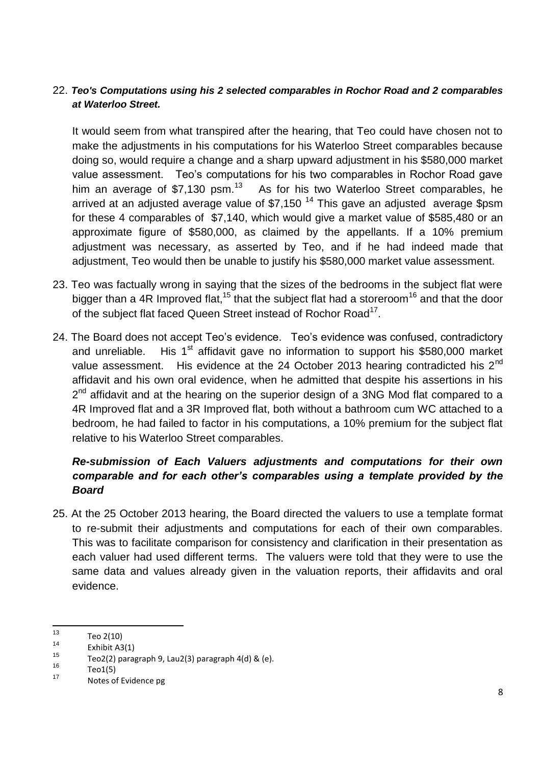### 22. *Teo's Computations using his 2 selected comparables in Rochor Road and 2 comparables at Waterloo Street.*

It would seem from what transpired after the hearing, that Teo could have chosen not to make the adjustments in his computations for his Waterloo Street comparables because doing so, would require a change and a sharp upward adjustment in his \$580,000 market value assessment. Teo's computations for his two comparables in Rochor Road gave him an average of  $$7,130$  psm.<sup>13</sup> As for his two Waterloo Street comparables, he arrived at an adjusted average value of \$7,150<sup>14</sup> This gave an adjusted average \$psm for these 4 comparables of \$7,140, which would give a market value of \$585,480 or an approximate figure of \$580,000, as claimed by the appellants. If a 10% premium adjustment was necessary, as asserted by Teo, and if he had indeed made that adjustment, Teo would then be unable to justify his \$580,000 market value assessment.

- 23. Teo was factually wrong in saying that the sizes of the bedrooms in the subject flat were bigger than a 4R Improved flat,<sup>15</sup> that the subject flat had a storeroom<sup>16</sup> and that the door of the subject flat faced Queen Street instead of Rochor Road<sup>17</sup>.
- 24. The Board does not accept Teo's evidence. Teo's evidence was confused, contradictory and unreliable. His  $1<sup>st</sup>$  affidavit gave no information to support his \$580,000 market value assessment. His evidence at the 24 October 2013 hearing contradicted his  $2^{nd}$ affidavit and his own oral evidence, when he admitted that despite his assertions in his 2<sup>nd</sup> affidavit and at the hearing on the superior design of a 3NG Mod flat compared to a 4R Improved flat and a 3R Improved flat, both without a bathroom cum WC attached to a bedroom, he had failed to factor in his computations, a 10% premium for the subject flat relative to his Waterloo Street comparables.

# *Re-submission of Each Valuers adjustments and computations for their own comparable and for each other's comparables using a template provided by the Board*

25. At the 25 October 2013 hearing, the Board directed the valuers to use a template format to re-submit their adjustments and computations for each of their own comparables. This was to facilitate comparison for consistency and clarification in their presentation as each valuer had used different terms. The valuers were told that they were to use the same data and values already given in the valuation reports, their affidavits and oral evidence.

 $13$  $13$  Teo 2(10)

 $14$  Exhibit A3(1)

<sup>&</sup>lt;sup>15</sup> Teo2(2) paragraph 9, Lau2(3) paragraph 4(d) & (e).

 $^{16}$  Teo1(5)

Notes of Evidence pg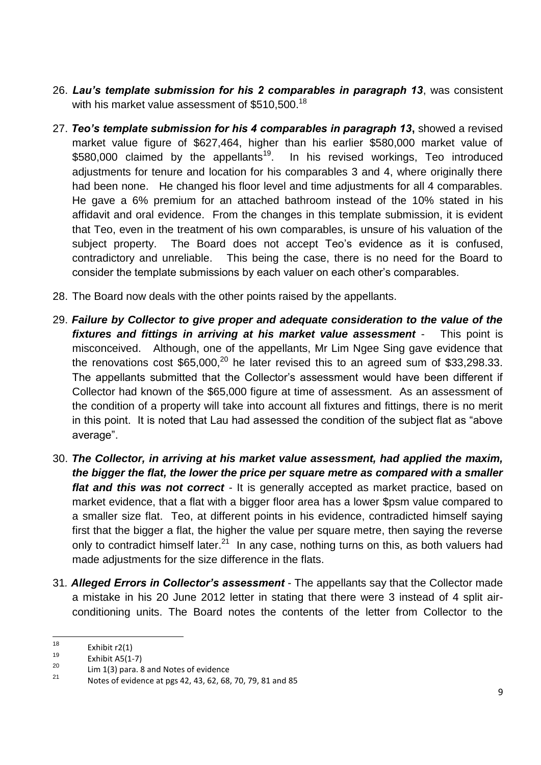- 26. *Lau's template submission for his 2 comparables in paragraph 13*, was consistent with his market value assessment of  $$510,500.<sup>18</sup>$
- 27. *Teo's template submission for his 4 comparables in paragraph 13***,** showed a revised market value figure of \$627,464, higher than his earlier \$580,000 market value of \$580,000 claimed by the appellants<sup>19</sup>. In his revised workings, Teo introduced adjustments for tenure and location for his comparables 3 and 4, where originally there had been none. He changed his floor level and time adjustments for all 4 comparables. He gave a 6% premium for an attached bathroom instead of the 10% stated in his affidavit and oral evidence. From the changes in this template submission, it is evident that Teo, even in the treatment of his own comparables, is unsure of his valuation of the subject property. The Board does not accept Teo's evidence as it is confused, contradictory and unreliable. This being the case, there is no need for the Board to consider the template submissions by each valuer on each other's comparables.
- 28. The Board now deals with the other points raised by the appellants.
- 29. *Failure by Collector to give proper and adequate consideration to the value of the fixtures and fittings in arriving at his market value assessment* - This point is misconceived. Although, one of the appellants, Mr Lim Ngee Sing gave evidence that the renovations cost  $$65,000$ ,<sup>20</sup> he later revised this to an agreed sum of  $$33,298.33$ . The appellants submitted that the Collector's assessment would have been different if Collector had known of the \$65,000 figure at time of assessment. As an assessment of the condition of a property will take into account all fixtures and fittings, there is no merit in this point. It is noted that Lau had assessed the condition of the subject flat as "above average".
- 30. *The Collector, in arriving at his market value assessment, had applied the maxim, the bigger the flat, the lower the price per square metre as compared with a smaller flat and this was not correct* - It is generally accepted as market practice, based on market evidence, that a flat with a bigger floor area has a lower \$psm value compared to a smaller size flat. Teo, at different points in his evidence, contradicted himself saying first that the bigger a flat, the higher the value per square metre, then saying the reverse only to contradict himself later.<sup>21</sup> In any case, nothing turns on this, as both valuers had made adjustments for the size difference in the flats.
- 31*. Alleged Errors in Collector's assessment* The appellants say that the Collector made a mistake in his 20 June 2012 letter in stating that there were 3 instead of 4 split airconditioning units. The Board notes the contents of the letter from Collector to the

<sup>18</sup>  $18$  Exhibit r2(1)

 $^{19}$  Exhibit A5(1-7)

 $\frac{20}{21}$  Lim 1(3) para. 8 and Notes of evidence

<sup>21</sup> Notes of evidence at pgs 42, 43, 62, 68, 70, 79, 81 and 85